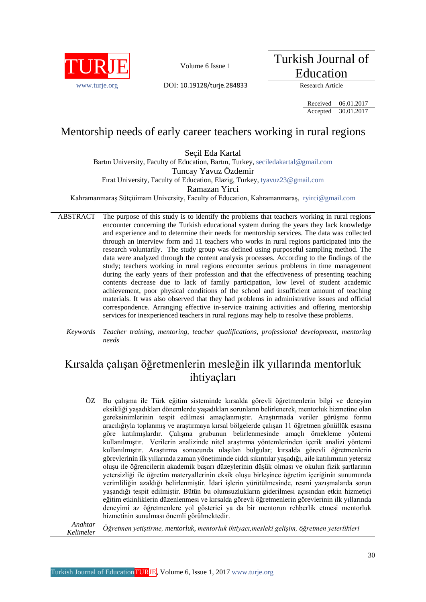

Turkish Journal of Education

[www.turje.org](http://www.turje.org/) DOI: 10.19128/turje.284833 Research Article

Received 06.01.2017 Accepted 30.01.2017

## Mentorship needs of early career teachers working in rural regions

Seçil Eda Kartal

Bartın University, Faculty of Education, Bartın, Turkey, [seciledakartal@gmail.com](mailto:seciledakartal@gmail.com) Tuncay Yavuz Özdemir Fırat University, Faculty of Education, Elazig, Turkey[, tyavuz23@gmail.com](mailto:tyavuz23@gmail.com) Ramazan Yirci

Kahramanmaraş Sütçüimam University, Faculty of Education, Kahramanmaraş, [ryirci@gmail.com](mailto:ryirci@gmail.com)

- ABSTRACT The purpose of this study is to identify the problems that teachers working in rural regions encounter concerning the Turkish educational system during the years they lack knowledge and experience and to determine their needs for mentorship services. The data was collected through an interview form and 11 teachers who works in rural regions participated into the research voluntarily. The study group was defined using purposeful sampling method. The data were analyzed through the content analysis processes. According to the findings of the study; teachers working in rural regions encounter serious problems in time management during the early years of their profession and that the effectiveness of presenting teaching contents decrease due to lack of family participation, low level of student academic achievement, poor physical conditions of the school and insufficient amount of teaching materials. It was also observed that they had problems in administrative issues and official correspondence. Arranging effective in-service training activities and offering mentorship services for inexperienced teachers in rural regions may help to resolve these problems.
	- *Keywords Teacher training, mentoring, teacher qualifications, professional development, mentoring needs*

# Kırsalda çalışan öğretmenlerin mesleğin ilk yıllarında mentorluk ihtiyaçları

ÖZ Bu çalışma ile Türk eğitim sisteminde kırsalda görevli öğretmenlerin bilgi ve deneyim eksikliği yaşadıkları dönemlerde yaşadıkları sorunların belirlenerek, mentorluk hizmetine olan gereksinimlerinin tespit edilmesi amaçlanmıştır. Araştırmada veriler görüşme formu aracılığıyla toplanmış ve araştırmaya kırsal bölgelerde çalışan 11 öğretmen gönüllük esasına göre katılmışlardır. Çalışma grubunun belirlenmesinde amaçlı örnekleme yöntemi kullanılmıştır. Verilerin analizinde nitel araştırma yöntemlerinden içerik analizi yöntemi kullanılmıştır. Araştırma sonucunda ulaşılan bulgular; kırsalda görevli öğretmenlerin görevlerinin ilk yıllarında zaman yönetiminde ciddi sıkıntılar yaşadığı, aile katılımının yetersiz oluşu ile öğrencilerin akademik başarı düzeylerinin düşük olması ve okulun fizik şartlarının yetersizliği ile öğretim materyallerinin eksik oluşu birleşince öğretim içeriğinin sunumunda verimliliğin azaldığı belirlenmiştir. İdari işlerin yürütülmesinde, resmi yazışmalarda sorun yaşandığı tespit edilmiştir. Bütün bu olumsuzlukların giderilmesi açısından etkin hizmetiçi eğitim etkinliklerin düzenlenmesi ve kırsalda görevli öğretmenlerin görevlerinin ilk yıllarında deneyimi az öğretmenlere yol gösterici ya da bir mentorun rehberlik etmesi mentorluk hizmetinin sunulması önemli görülmektedir.

*Anahtar Kelimeler <sup>Ö</sup>ğretmen yetiştirme, mentorluk, mentorluk ihtiyacı,mesleki gelişim, <sup>ö</sup>ğretmen yeterlikleri*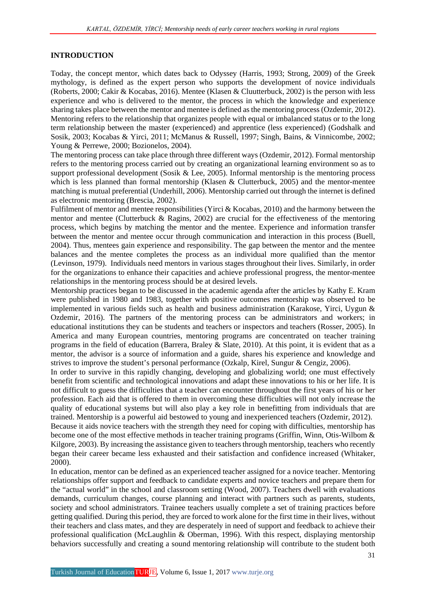## **INTRODUCTION**

Today, the concept mentor, which dates back to Odyssey (Harris, 1993; Strong, 2009) of the Greek mythology, is defined as the expert person who supports the development of novice individuals (Roberts, 2000; Cakir & Kocabas, 2016). Mentee (Klasen & Cluutterbuck, 2002) is the person with less experience and who is delivered to the mentor, the process in which the knowledge and experience sharing takes place between the mentor and mentee is defined as the mentoring process (Ozdemir, 2012). Mentoring refers to the relationship that organizes people with equal or imbalanced status or to the long term relationship between the master (experienced) and apprentice (less experienced) (Godshalk and Sosik, 2003; Kocabas & Yirci, 2011; McManus & Russell, 1997; Singh, Bains, & Vinnicombe, 2002; Young & Perrewe, 2000; Bozionelos, 2004).

The mentoring process can take place through three different ways (Ozdemir, 2012). Formal mentorship refers to the mentoring process carried out by creating an organizational learning environment so as to support professional development (Sosik & Lee, 2005). Informal mentorship is the mentoring process which is less planned than formal mentorship (Klasen & Clutterbuck, 2005) and the mentor-mentee matching is mutual preferential (Underhill, 2006). Mentorship carried out through the internet is defined as electronic mentoring (Brescia, 2002).

Fulfilment of mentor and mentee responsibilities (Yirci & Kocabas, 2010) and the harmony between the mentor and mentee (Clutterbuck & Ragins, 2002) are crucial for the effectiveness of the mentoring process, which begins by matching the mentor and the mentee. Experience and information transfer between the mentor and mentee occur through communication and interaction in this process (Buell, 2004). Thus, mentees gain experience and responsibility. The gap between the mentor and the mentee balances and the mentee completes the process as an individual more qualified than the mentor (Levinson, 1979). Individuals need mentors in various stages throughout their lives. Similarly, in order for the organizations to enhance their capacities and achieve professional progress, the mentor-mentee relationships in the mentoring process should be at desired levels.

Mentorship practices began to be discussed in the academic agenda after the articles by Kathy E. Kram were published in 1980 and 1983, together with positive outcomes mentorship was observed to be implemented in various fields such as health and business administration (Karakose, Yirci, Uygun & Ozdemir, 2016). The partners of the mentoring process can be administrators and workers; in educational institutions they can be students and teachers or inspectors and teachers (Rosser, 2005). In America and many European countries, mentoring programs are concentrated on teacher training programs in the field of education (Barrera, Braley & Slate, 2010). At this point, it is evident that as a mentor, the advisor is a source of information and a guide, shares his experience and knowledge and strives to improve the student's personal performance (Ozkalp, Kirel, Sungur & Cengiz, 2006).

In order to survive in this rapidly changing, developing and globalizing world; one must effectively benefit from scientific and technological innovations and adapt these innovations to his or her life. It is not difficult to guess the difficulties that a teacher can encounter throughout the first years of his or her profession. Each aid that is offered to them in overcoming these difficulties will not only increase the quality of educational systems but will also play a key role in benefitting from individuals that are trained. Mentorship is a powerful aid bestowed to young and inexperienced teachers (Ozdemir, 2012).

Because it aids novice teachers with the strength they need for coping with difficulties, mentorship has become one of the most effective methods in teacher training programs (Griffin, Winn, Otis-Wilbom & Kilgore, 2003). By increasing the assistance given to teachers through mentorship, teachers who recently began their career became less exhausted and their satisfaction and confidence increased (Whitaker, 2000).

In education, mentor can be defined as an experienced teacher assigned for a novice teacher. Mentoring relationships offer support and feedback to candidate experts and novice teachers and prepare them for the "actual world" in the school and classroom setting (Wood, 2007). Teachers dwell with evaluations demands, curriculum changes, course planning and interact with partners such as parents, students, society and school administrators. Trainee teachers usually complete a set of training practices before getting qualified. During this period, they are forced to work alone for the first time in their lives, without their teachers and class mates, and they are desperately in need of support and feedback to achieve their professional qualification (McLaughlin & Oberman, 1996). With this respect, displaying mentorship behaviors successfully and creating a sound mentoring relationship will contribute to the student both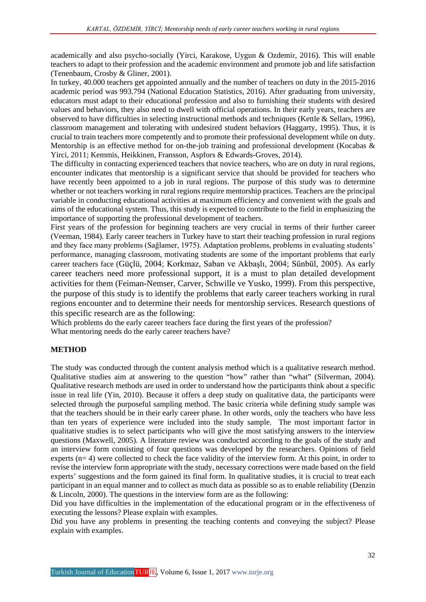academically and also psycho-socially (Yirci, Karakose, Uygun & Ozdemir, 2016). This will enable teachers to adapt to their profession and the academic environment and promote job and life satisfaction (Tenenbaum, Crosby & Gliner, 2001).

In turkey, 40.000 teachers get appointed annually and the number of teachers on duty in the 2015-2016 academic period was 993.794 (National Education Statistics, 2016). After graduating from university, educators must adapt to their educational profession and also to furnishing their students with desired values and behaviors, they also need to dwell with official operations. In their early years, teachers are observed to have difficulties in selecting instructional methods and techniques (Kettle & Sellars, 1996), classroom management and tolerating with undesired student behaviors (Haggarty, 1995). Thus, it is crucial to train teachers more competently and to promote their professional development while on duty. Mentorship is an effective method for on-the-job training and professional development (Kocabas & Yirci, 2011; Kemmis, Heikkinen, Fransson, Aspfors & Edwards-Groves, 2014).

The difficulty in contacting experienced teachers that novice teachers, who are on duty in rural regions, encounter indicates that mentorship is a significant service that should be provided for teachers who have recently been appointed to a job in rural regions. The purpose of this study was to determine whether or not teachers working in rural regions require mentorship practices. Teachers are the principal variable in conducting educational activities at maximum efficiency and convenient with the goals and aims of the educational system. Thus, this study is expected to contribute to the field in emphasizing the importance of supporting the professional development of teachers.

First years of the profession for beginning teachers are very crucial in terms of their further career (Veeman, 1984). Early career teachers in Turkey have to start their teaching profession in rural regions and they face many problems (Sağlamer, 1975). Adaptation problems, problems in evaluating students' performance, managing classroom, motivating students are some of the important problems that early career teachers face (Güçlü, 2004; Korkmaz, Saban ve Akbaşlı, 2004; Sünbül, 2005). As early career teachers need more professional support, it is a must to plan detailed development activities for them (Feiman-Nemser, Carver, Schwille ve Yusko, 1999). From this perspective, the purpose of this study is to identify the problems that early career teachers working in rural regions encounter and to determine their needs for mentorship services. Research questions of this specific research are as the following:

Which problems do the early career teachers face during the first years of the profession? What mentoring needs do the early career teachers have?

## **METHOD**

The study was conducted through the content analysis method which is a qualitative research method. Qualitative studies aim at answering to the question "how" rather than "what" (Silverman, 2004). Qualitative research methods are used in order to understand how the participants think about a specific issue in real life (Yin, 2010). Because it offers a deep study on qualitative data, the participants were selected through the purposeful sampling method. The basic criteria while defining study sample was that the teachers should be in their early career phase. In other words, only the teachers who have less than ten years of experience were included into the study sample. The most important factor in qualitative studies is to select participants who will give the most satisfying answers to the interview questions (Maxwell, 2005). A literature review was conducted according to the goals of the study and an interview form consisting of four questions was developed by the researchers. Opinions of field experts (n= 4) were collected to check the face validity of the interview form. At this point, in order to revise the interview form appropriate with the study, necessary corrections were made based on the field experts' suggestions and the form gained its final form. In qualitative studies, it is crucial to treat each participant in an equal manner and to collect as much data as possible so as to enable reliability (Denzin & Lincoln, 2000). The questions in the interview form are as the following:

Did you have difficulties in the implementation of the educational program or in the effectiveness of executing the lessons? Please explain with examples.

Did you have any problems in presenting the teaching contents and conveying the subject? Please explain with examples.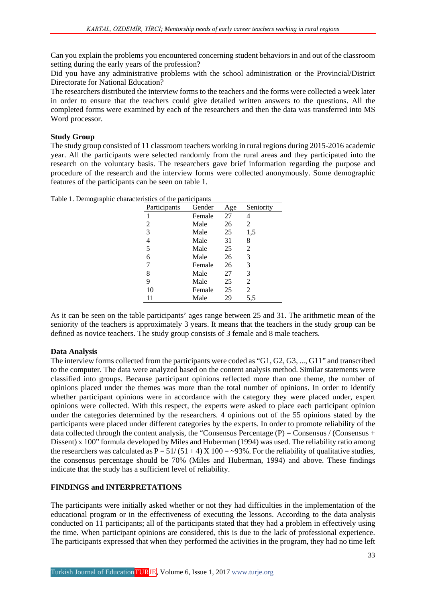Can you explain the problems you encountered concerning student behaviors in and out of the classroom setting during the early years of the profession?

Did you have any administrative problems with the school administration or the Provincial/District Directorate for National Education?

The researchers distributed the interview forms to the teachers and the forms were collected a week later in order to ensure that the teachers could give detailed written answers to the questions. All the completed forms were examined by each of the researchers and then the data was transferred into MS Word processor.

## **Study Group**

The study group consisted of 11 classroom teachers working in rural regions during 2015-2016 academic year. All the participants were selected randomly from the rural areas and they participated into the research on the voluntary basis. The researchers gave brief information regarding the purpose and procedure of the research and the interview forms were collected anonymously. Some demographic features of the participants can be seen on table 1.

| 27<br>Female<br>4<br>Male<br>26<br>2<br>2<br>25<br>3<br>Male<br>1,5<br>31<br>Male<br>4<br>8<br>5<br>25<br>Male<br>2<br>26<br>6<br>Male<br>3<br>26<br>3<br>Female<br>7<br>27<br>8<br>Male<br>3<br>25<br>Male<br>9<br>2<br>25<br>10<br>2<br>Female<br>Male<br>29<br>5.5 |              | Gender |     |           |
|-----------------------------------------------------------------------------------------------------------------------------------------------------------------------------------------------------------------------------------------------------------------------|--------------|--------|-----|-----------|
|                                                                                                                                                                                                                                                                       | Participants |        | Age | Seniority |
|                                                                                                                                                                                                                                                                       |              |        |     |           |
|                                                                                                                                                                                                                                                                       |              |        |     |           |
|                                                                                                                                                                                                                                                                       |              |        |     |           |
|                                                                                                                                                                                                                                                                       |              |        |     |           |
|                                                                                                                                                                                                                                                                       |              |        |     |           |
|                                                                                                                                                                                                                                                                       |              |        |     |           |
|                                                                                                                                                                                                                                                                       |              |        |     |           |
|                                                                                                                                                                                                                                                                       |              |        |     |           |
|                                                                                                                                                                                                                                                                       |              |        |     |           |
|                                                                                                                                                                                                                                                                       |              |        |     |           |
|                                                                                                                                                                                                                                                                       |              |        |     |           |

Table 1. Demographic characteristics of the participants

As it can be seen on the table participants' ages range between 25 and 31. The arithmetic mean of the seniority of the teachers is approximately 3 years. It means that the teachers in the study group can be defined as novice teachers. The study group consists of 3 female and 8 male teachers.

#### **Data Analysis**

The interview forms collected from the participants were coded as "G1, G2, G3, ..., G11" and transcribed to the computer. The data were analyzed based on the content analysis method. Similar statements were classified into groups. Because participant opinions reflected more than one theme, the number of opinions placed under the themes was more than the total number of opinions. In order to identify whether participant opinions were in accordance with the category they were placed under, expert opinions were collected. With this respect, the experts were asked to place each participant opinion under the categories determined by the researchers. 4 opinions out of the 55 opinions stated by the participants were placed under different categories by the experts. In order to promote reliability of the data collected through the content analysis, the "Consensus Percentage  $(P) =$ Consensus / (Consensus + Dissent) x 100" formula developed by Miles and Huberman (1994) was used. The reliability ratio among the researchers was calculated as  $P = 51/(51 + 4) X 100 = -93\%$ . For the reliability of qualitative studies, the consensus percentage should be 70% (Miles and Huberman, 1994) and above. These findings indicate that the study has a sufficient level of reliability.

#### **FINDINGS and INTERPRETATIONS**

The participants were initially asked whether or not they had difficulties in the implementation of the educational program or in the effectiveness of executing the lessons. According to the data analysis conducted on 11 participants; all of the participants stated that they had a problem in effectively using the time. When participant opinions are considered, this is due to the lack of professional experience. The participants expressed that when they performed the activities in the program, they had no time left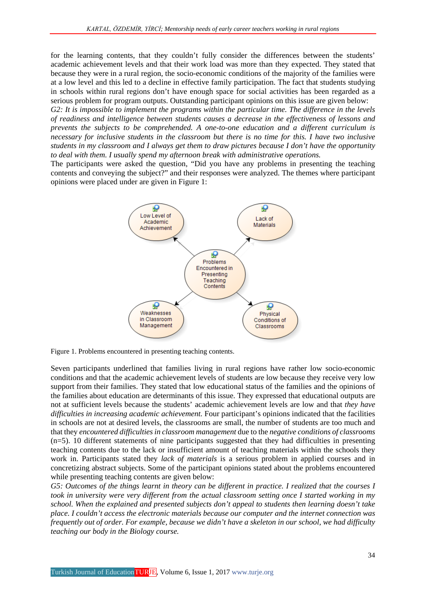for the learning contents, that they couldn't fully consider the differences between the students' academic achievement levels and that their work load was more than they expected. They stated that because they were in a rural region, the socio-economic conditions of the majority of the families were at a low level and this led to a decline in effective family participation. The fact that students studying in schools within rural regions don't have enough space for social activities has been regarded as a serious problem for program outputs. Outstanding participant opinions on this issue are given below:

*G2: It is impossible to implement the programs within the particular time. The difference in the levels of readiness and intelligence between students causes a decrease in the effectiveness of lessons and prevents the subjects to be comprehended. A one-to-one education and a different curriculum is necessary for inclusive students in the classroom but there is no time for this. I have two inclusive students in my classroom and I always get them to draw pictures because I don't have the opportunity to deal with them. I usually spend my afternoon break with administrative operations.*

The participants were asked the question, "Did you have any problems in presenting the teaching contents and conveying the subject?" and their responses were analyzed. The themes where participant opinions were placed under are given in Figure 1:



Figure 1. Problems encountered in presenting teaching contents.

Seven participants underlined that families living in rural regions have rather low socio-economic conditions and that the academic achievement levels of students are low because they receive very low support from their families. They stated that low educational status of the families and the opinions of the families about education are determinants of this issue. They expressed that educational outputs are not at sufficient levels because the students' academic achievement levels are low and that *they have difficulties in increasing academic achievement.* Four participant's opinions indicated that the facilities in schools are not at desired levels, the classrooms are small, the number of students are too much and that they *encountered difficulties in classroom management* due to the *negative conditions of classrooms*  (n=5). 10 different statements of nine participants suggested that they had difficulties in presenting teaching contents due to the lack or insufficient amount of teaching materials within the schools they work in. Participants stated they *lack of materials* is a serious problem in applied courses and in concretizing abstract subjects. Some of the participant opinions stated about the problems encountered while presenting teaching contents are given below:

*G5: Outcomes of the things learnt in theory can be different in practice. I realized that the courses I took in university were very different from the actual classroom setting once I started working in my school. When the explained and presented subjects don't appeal to students then learning doesn't take place. I couldn't access the electronic materials because our computer and the internet connection was frequently out of order. For example, because we didn't have a skeleton in our school, we had difficulty teaching our body in the Biology course.*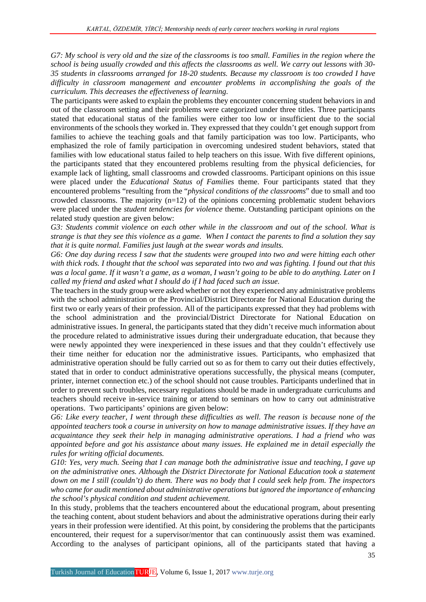*G7: My school is very old and the size of the classrooms is too small. Families in the region where the school is being usually crowded and this affects the classrooms as well. We carry out lessons with 30- 35 students in classrooms arranged for 18-20 students. Because my classroom is too crowded I have difficulty in classroom management and encounter problems in accomplishing the goals of the curriculum. This decreases the effectiveness of learning.*

The participants were asked to explain the problems they encounter concerning student behaviors in and out of the classroom setting and their problems were categorized under three titles. Three participants stated that educational status of the families were either too low or insufficient due to the social environments of the schools they worked in. They expressed that they couldn't get enough support from families to achieve the teaching goals and that family participation was too low. Participants, who emphasized the role of family participation in overcoming undesired student behaviors, stated that families with low educational status failed to help teachers on this issue. With five different opinions, the participants stated that they encountered problems resulting from the physical deficiencies, for example lack of lighting, small classrooms and crowded classrooms. Participant opinions on this issue were placed under the *Educational Status of Families* theme. Four participants stated that they encountered problems "resulting from the "*physical conditions of the classrooms*" due to small and too crowded classrooms. The majority  $(n=12)$  of the opinions concerning problematic student behaviors were placed under the *student tendencies for violence* theme. Outstanding participant opinions on the related study question are given below:

*G3: Students commit violence on each other while in the classroom and out of the school. What is strange is that they see this violence as a game. When I contact the parents to find a solution they say that it is quite normal. Families just laugh at the swear words and insults.*

*G6: One day during recess I saw that the students were grouped into two and were hitting each other with thick rods. I thought that the school was separated into two and was fighting. I found out that this was a local game. If it wasn't a game, as a woman, I wasn't going to be able to do anything. Later on I called my friend and asked what I should do if I had faced such an issue.*

The teachers in the study group were asked whether or not they experienced any administrative problems with the school administration or the Provincial/District Directorate for National Education during the first two or early years of their profession. All of the participants expressed that they had problems with the school administration and the provincial/District Directorate for National Education on administrative issues. In general, the participants stated that they didn't receive much information about the procedure related to administrative issues during their undergraduate education, that because they were newly appointed they were inexperienced in these issues and that they couldn't effectively use their time neither for education nor the administrative issues. Participants, who emphasized that administrative operation should be fully carried out so as for them to carry out their duties effectively, stated that in order to conduct administrative operations successfully, the physical means (computer, printer, internet connection etc.) of the school should not cause troubles. Participants underlined that in order to prevent such troubles, necessary regulations should be made in undergraduate curriculums and teachers should receive in-service training or attend to seminars on how to carry out administrative operations. Two participants' opinions are given below:

*G6: Like every teacher, I went through these difficulties as well. The reason is because none of the appointed teachers took a course in university on how to manage administrative issues. If they have an acquaintance they seek their help in managing administrative operations. I had a friend who was appointed before and got his assistance about many issues. He explained me in detail especially the rules for writing official documents.*

*G10: Yes, very much. Seeing that I can manage both the administrative issue and teaching, I gave up on the administrative ones. Although the District Directorate for National Education took a statement down on me I still (couldn't) do them. There was no body that I could seek help from. The inspectors who came for audit mentioned about administrative operations but ignored the importance of enhancing the school's physical condition and student achievement.*

In this study, problems that the teachers encountered about the educational program, about presenting the teaching content, about student behaviors and about the administrative operations during their early years in their profession were identified. At this point, by considering the problems that the participants encountered, their request for a supervisor/mentor that can continuously assist them was examined. According to the analyses of participant opinions, all of the participants stated that having a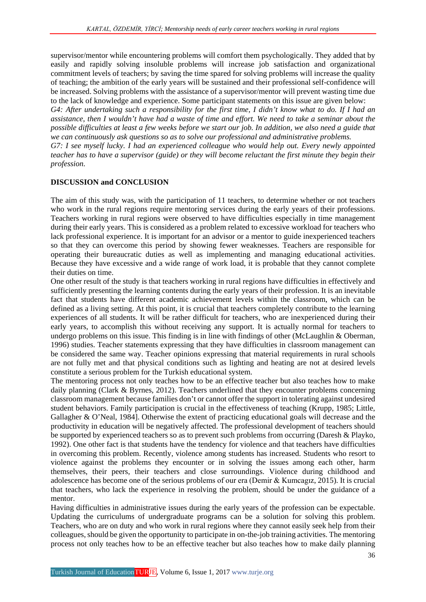supervisor/mentor while encountering problems will comfort them psychologically. They added that by easily and rapidly solving insoluble problems will increase job satisfaction and organizational commitment levels of teachers; by saving the time spared for solving problems will increase the quality of teaching; the ambition of the early years will be sustained and their professional self-confidence will be increased. Solving problems with the assistance of a supervisor/mentor will prevent wasting time due to the lack of knowledge and experience. Some participant statements on this issue are given below:

*G4: After undertaking such a responsibility for the first time, I didn't know what to do. If I had an assistance, then I wouldn't have had a waste of time and effort. We need to take a seminar about the possible difficulties at least a few weeks before we start our job. In addition, we also need a guide that we can continuously ask questions so as to solve our professional and administrative problems.* 

*G7: I see myself lucky. I had an experienced colleague who would help out. Every newly appointed teacher has to have a supervisor (guide) or they will become reluctant the first minute they begin their profession.*

## **DISCUSSION and CONCLUSION**

The aim of this study was, with the participation of 11 teachers, to determine whether or not teachers who work in the rural regions require mentoring services during the early years of their professions. Teachers working in rural regions were observed to have difficulties especially in time management during their early years. This is considered as a problem related to excessive workload for teachers who lack professional experience. It is important for an advisor or a mentor to guide inexperienced teachers so that they can overcome this period by showing fewer weaknesses. Teachers are responsible for operating their bureaucratic duties as well as implementing and managing educational activities. Because they have excessive and a wide range of work load, it is probable that they cannot complete their duties on time.

One other result of the study is that teachers working in rural regions have difficulties in effectively and sufficiently presenting the learning contents during the early years of their profession. It is an inevitable fact that students have different academic achievement levels within the classroom, which can be defined as a living setting. At this point, it is crucial that teachers completely contribute to the learning experiences of all students. It will be rather difficult for teachers, who are inexperienced during their early years, to accomplish this without receiving any support. It is actually normal for teachers to undergo problems on this issue. This finding is in line with findings of other (McLaughlin & Oberman, 1996) studies. Teacher statements expressing that they have difficulties in classroom management can be considered the same way. Teacher opinions expressing that material requirements in rural schools are not fully met and that physical conditions such as lighting and heating are not at desired levels constitute a serious problem for the Turkish educational system.

The mentoring process not only teaches how to be an effective teacher but also teaches how to make daily planning (Clark & Byrnes, 2012). Teachers underlined that they encounter problems concerning classroom management because families don't or cannot offer the support in tolerating against undesired student behaviors. Family participation is crucial in the effectiveness of teaching (Krupp, 1985; Little, Gallagher & O'Neal, 1984]. Otherwise the extent of practicing educational goals will decrease and the productivity in education will be negatively affected. The professional development of teachers should be supported by experienced teachers so as to prevent such problems from occurring (Daresh & Playko, 1992). One other fact is that students have the tendency for violence and that teachers have difficulties in overcoming this problem. Recently, violence among students has increased. Students who resort to violence against the problems they encounter or in solving the issues among each other, harm themselves, their peers, their teachers and close surroundings. Violence during childhood and adolescence has become one of the serious problems of our era (Demir & Kumcagız, 2015). It is crucial that teachers, who lack the experience in resolving the problem, should be under the guidance of a mentor.

Having difficulties in administrative issues during the early years of the profession can be expectable. Updating the curriculums of undergraduate programs can be a solution for solving this problem. Teachers, who are on duty and who work in rural regions where they cannot easily seek help from their colleagues, should be given the opportunity to participate in on-the-job training activities. The mentoring process not only teaches how to be an effective teacher but also teaches how to make daily planning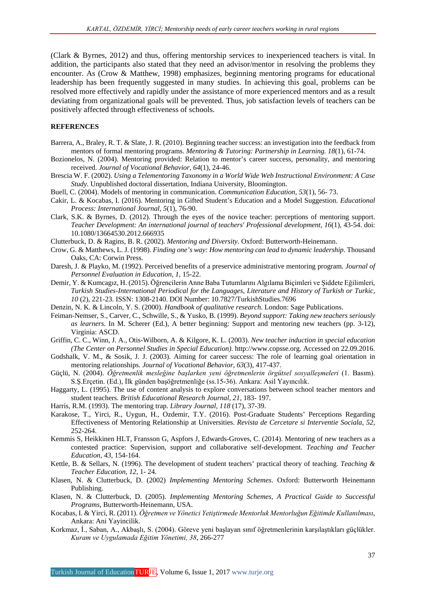(Clark & Byrnes, 2012) and thus, offering mentorship services to inexperienced teachers is vital. In addition, the participants also stated that they need an advisor/mentor in resolving the problems they encounter. As (Crow & Matthew, 1998) emphasizes, beginning mentoring programs for educational leadership has been frequently suggested in many studies. In achieving this goal, problems can be resolved more effectively and rapidly under the assistance of more experienced mentors and as a result deviating from organizational goals will be prevented. Thus, job satisfaction levels of teachers can be positively affected through effectiveness of schools.

#### **REFERENCES**

Barrera, A., Braley, R. T. & Slate, J. R. (2010). Beginning teacher success: an investigation into the feedback from mentors of formal mentoring programs. *Mentoring & Tutoring: Partnership in Learning. 18*(1), 61-74.

- Bozionelos, N. (2004). Mentoring provided: Relation to mentor's career success, personality, and mentoring received. *Journal of Vocational Behavior, 64*(1), 24-46.
- Brescia W. F. (2002). *Using a Telementoring Taxonomy in a World Wide Web Instructional Environment: A Case Study.* Unpublished doctoral dissertation, Indiana University, Bloomington.

Buell, C. (2004). Models of mentoring in communication. *Communication Education, 53*(1), 56- 73.

- Cakir, L. & Kocabas, I. (2016). Mentoring in Gifted Student's Education and a Model Suggestion. *Educational Process: International Journal, 5*(1), 76-90.
- Clark, S.K. & Byrnes, D. (2012). Through the eyes of the novice teacher: perceptions of mentoring support. *Teacher Development: An international journal of teachers' Professional development, 16*(1), 43-54. doi: 10.1080/13664530.2012.666935
- Clutterbuck, D. & Ragins, B. R. (2002). *Mentoring and Diversity*. Oxford: Butterworth-Heinemann.
- Crow, G. & Matthews, L. J. (1998). *Finding one's way: How mentoring can lead to dynamic leadership*. Thousand Oaks, CA: Corwin Press.
- Daresh, J. & Playko, M. (1992). Perceived benefits of a preservice administrative mentoring program. *Journal of Personnel Evaluation in Education, 1*, 15-22.
- Demir, Y. & Kumcagız, H. (2015). Öğrencilerin Anne Baba Tutumlarını Algılama Biçimleri ve Şiddete Eğilimleri, *Turkish Studies-International Periodical for the Languages, Literature and History of Turkish or Turkic, 10* (2), 221-23. ISSN: 1308-2140. DOI Number: 10.7827/TurkishStudies.7696
- Denzin, N. K. & Lincoln, Y. S. (2000). *Handbook of qualitative research*. London: Sage Publications.
- Feiman-Nemser, S., Carver, C., Schwille, S., & Yusko, B. (1999). *Beyond support: Taking new teachers seriously as learners.* In M. Scherer (Ed.), A better beginning: Support and mentoring new teachers (pp. 3-12), Virginia: ASCD.
- Griffin, C. C., Winn, J. A., Otis-Wilborn, A. & Kilgore, K. L. (2003). *New teacher induction in special education (The Center on Personnel Studies in Special Education)*. http://www.copsse.org. Accessed on 22.09.2016.
- Godshalk, V. M., & Sosik, J. J. (2003). Aiming for career success: The role of learning goal orientation in mentoring relationships. *Journal of Vocational Behavior, 63*(3), 417-437.
- Güçlü, N. (2004). *Öğretmenlik mesleğine başlarken yeni öğretmenlerin örgütsel sosyalleşmeleri* (1. Basım). S.Ş.Erçetin. (Ed.), İlk günden başöğretmenliğe (ss.15-36). Ankara: Asil Yayıncılık.
- Haggarty, L. (1995). The use of content analysis to explore conversations between school teacher mentors and student teachers. *British Educational Research Journal, 21*, 183- 197.
- Harris, R.M. (1993). The mentoring trap. *Library Journal*, *118* (17), 37-39.
- Karakose, T., Yirci, R., Uygun, H., Ozdemir, T.Y. (2016). Post-Graduate Students' Perceptions Regarding Effectiveness of Mentoring Relationship at Universities. *Revista de Cercetare si Interventie Sociala, 52,* 252-264.
- Kemmis S, Heikkinen HLT, Fransson G, Aspfors J, Edwards-Groves, C. (2014). Mentoring of new teachers as a contested practice: Supervision, support and collaborative self-development. *Teaching and Teacher Education, 43*, 154-164.
- Kettle, B. & Sellars, N. (1996). The development of student teachers' practical theory of teaching. *Teaching & Teacher Education, 12*, 1- 24.
- Klasen, N. & Clutterbuck, D. (2002) *Implementing Mentoring Schemes*. Oxford: Butterworth Heinemann Publishing.
- Klasen, N. & Clutterbuck, D. (2005). *Implem*e*nting Mentoring Schemes, A Practical Guide to Successful Programs*, Butterworth-Heinemann, USA.
- Kocabas, I. & Yirci, R. (2011). *Öğretmen ve Yönetici Yetiştirmede Mentorluk Mentorluğun Eğitimde Kullanılması*, Ankara: Ani Yayincilik.
- Korkmaz, İ., Saban, A., Akbaşlı, S. (2004). Göreve yeni başlayan sınıf öğretmenlerinin karşılaştıkları güçlükler. *Kuram ve Uygulamada Eğitim Yönetimi, 38*, 266-277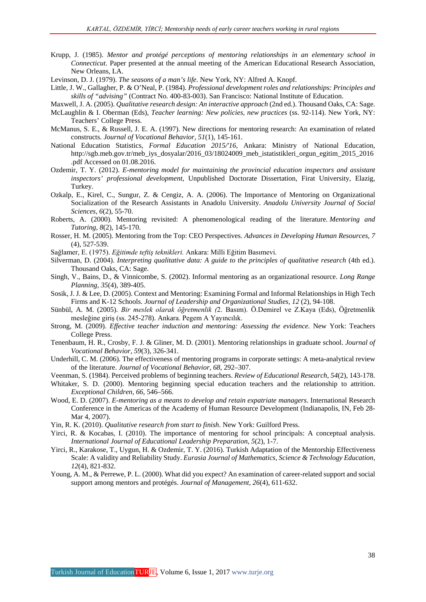- Krupp, J. (1985). *Mentor and protégé perceptions of mentoring relationships in an elementary school in Connecticut*. Paper presented at the annual meeting of the American Educational Research Association, New Orleans, LA.
- Levinson, D. J. (1979). *The seasons of a man's life*. New York, NY: Alfred A. Knopf.
- Little, J. W., Gallagher, P. & O'Neal, P. (1984). *Professional development roles and relationships: Principles and skills of "advising"* (Contract No. 400-83-003). San Francisco: National Institute of Education.
- Maxwell, J. A. (2005). *Qualitative research design: An interactive approach* (2nd ed.). Thousand Oaks, CA: Sage. McLaughlin & I. Oberman (Eds), *Teacher learning: New policies, new practices* (ss. 92-114). New York, NY: Teachers' College Press.
- McManus, S. E., & Russell, J. E. A. (1997). New directions for mentoring research: An examination of related constructs. *Journal of Vocational Behavior, 51*(1), 145-161.
- National Education Statistics, *Formal Education 2015/'16*, Ankara: Ministry of National Education, http://sgb.meb.gov.tr/meb\_iys\_dosyalar/2016\_03/18024009\_meb\_istatistikleri\_orgun\_egitim\_2015\_2016 .pdf Accessed on 01.08.2016.
- Ozdemir, T. Y. (2012). *E-mentoring model for maintaining the provincial education inspectors and assistant inspectors' professional development*, Unpublished Doctorate Dissertation, Firat University, Elazig, Turkey.
- Ozkalp, E., Kirel, C., Sungur, Z. & Cengiz, A. A. (2006). The Importance of Mentoring on Organizational Socialization of the Research Assistants in Anadolu University. *Anadolu University Journal of Social Sciences, 6*(2), 55-70.
- Roberts, A. (2000). Mentoring revisited: A phenomenological reading of the literature. *Mentoring and Tutoring, 8*(2), 145-170.
- Rosser, H. M. (2005). Mentoring from the Top: CEO Perspectives. *Advances in Developing Human Resources, 7* (4), 527-539.
- Sağlamer, E. (1975). *Eğitimde teftiş teknikleri.* Ankara: Milli Eğitim Basımevi.
- Silverman, D. (2004). *Interpreting qualitative data: A guide to the principles of qualitative research* (4th ed.). Thousand Oaks, CA: Sage.
- Singh, V., Bains, D., & Vinnicombe, S. (2002). Informal mentoring as an organizational resource. *Long Range Planning, 35*(4), 389-405.
- Sosik, J. J. & Lee, D. (2005). Context and Mentoring: Examining Formal and Informal Relationships in High Tech Firms and K-12 Schools. *Journal of Leadership and Organizational Studies, 12* (2), 94-108.
- Sünbül, A. M. (2005). *Bir meslek olarak öğretmenlik (*2. Basım). Ö.Demirel ve Z.Kaya (Eds), Öğretmenlik mesleğine giriş (ss. 245-278). Ankara. Pegem A Yayıncılık.
- Strong, M. (2009). *Effective teacher induction and mentoring: Assessing the evidence.* New York: Teachers College Press.
- Tenenbaum, H. R., Crosby, F. J. & Gliner, M. D. (2001). Mentoring relationships in graduate school. *Journal of Vocational Behavior, 59*(3), 326-341.
- Underhill, C. M. (2006). The effectiveness of mentoring programs in corporate settings: A meta-analytical review of the literature. *Journal of Vocational Behavior, 68*, 292–307.
- Veenman, S. (1984). Perceived problems of beginning teachers. *Review of Educational Research, 54*(2), 143-178.
- Whitaker, S. D. (2000). Mentoring beginning special education teachers and the relationship to attrition. *Exceptional Children, 66*, 546–566.
- Wood, E. D. (2007). *E-mentoring as a means to develop and retain expatriate managers*. International Research Conference in the Americas of the Academy of Human Resource Development (Indianapolis, IN, Feb 28- Mar 4, 2007).
- Yin, R. K. (2010). *Qualitative research from start to finish*. New York: Guilford Press.
- Yirci, R. & Kocabas, I. (2010). The importance of mentoring for school principals: A conceptual analysis. *International Journal of Educational Leadership Preparation, 5*(2), 1-7.
- Yirci, R., Karakose, T., Uygun, H. & Ozdemir, T. Y. (2016). Turkish Adaptation of the Mentorship Effectiveness Scale: A validity and Reliability Study. *Eurasia Journal of Mathematics, Science & Technology Education, 12*(4), 821-832.
- Young, A. M., & Perrewe, P. L. (2000). What did you expect? An examination of career-related support and social support among mentors and protégés. *Journal of Management, 26*(4), 611-632.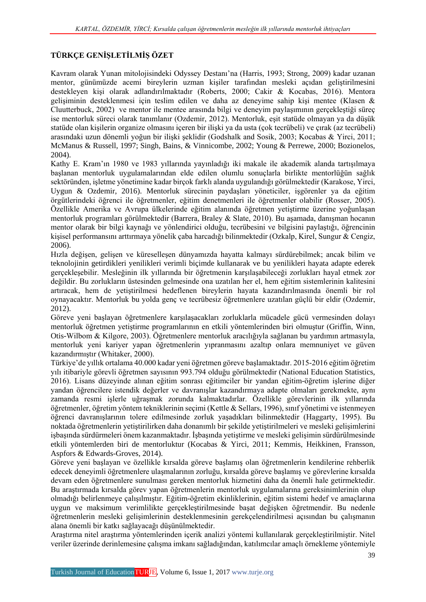## **TÜRKÇE GENİŞLETİLMİŞ ÖZET**

Kavram olarak Yunan mitolojisindeki Odyssey Destanı'na (Harris, 1993; Strong, 2009) kadar uzanan mentor, günümüzde acemi bireylerin uzman kişiler tarafından mesleki açıdan geliştirilmesini destekleyen kişi olarak adlandırılmaktadır (Roberts, 2000; Cakir & Kocabas, 2016). Mentora gelişiminin desteklenmesi için teslim edilen ve daha az deneyime sahip kişi mentee (Klasen & Cluutterbuck, 2002) ve mentor ile mentee arasında bilgi ve deneyim paylaşımının gerçekleştiği süreç ise mentorluk süreci olarak tanımlanır (Ozdemir, 2012). Mentorluk, eşit statüde olmayan ya da düşük statüde olan kişilerin organize olmasını içeren bir ilişki ya da usta (çok tecrübeli) ve çırak (az tecrübeli) arasındaki uzun dönemli yoğun bir ilişki şeklidir (Godshalk and Sosik, 2003; Kocabas & Yirci, 2011; McManus & Russell, 1997; Singh, Bains, & Vinnicombe, 2002; Young & Perrewe, 2000; Bozionelos, 2004).

Kathy E. Kram'ın 1980 ve 1983 yıllarında yayınladığı iki makale ile akademik alanda tartışılmaya başlanan mentorluk uygulamalarından elde edilen olumlu sonuçlarla birlikte mentorlüğün sağlık sektöründen, işletme yönetimine kadar birçok farklı alanda uygulandığı görülmektedir (Karakose, Yirci, Uygun & Ozdemir, 2016). Mentorluk sürecinin paydaşları yöneticiler, işgörenler ya da eğitim örgütlerindeki öğrenci ile öğretmenler, eğitim denetmenleri ile öğretmenler olabilir (Rosser, 2005). Özellikle Amerika ve Avrupa ülkelerinde eğitim alanında öğretmen yetiştirme üzerine yoğunlaşan mentorluk programları görülmektedir (Barrera, Braley & Slate, 2010). Bu aşamada, danışman hocanın mentor olarak bir bilgi kaynağı ve yönlendirici olduğu, tecrübesini ve bilgisini paylaştığı, öğrencinin kişisel performansını arttırmaya yönelik çaba harcadığı bilinmektedir (Ozkalp, Kirel, Sungur & Cengiz, 2006).

Hızla değişen, gelişen ve küreselleşen dünyamızda hayatta kalmayı sürdürebilmek; ancak bilim ve teknolojinin getirdikleri yenilikleri verimli biçimde kullanarak ve bu yenilikleri hayata adapte ederek gerçekleşebilir. Mesleğinin ilk yıllarında bir öğretmenin karşılaşabileceği zorlukları hayal etmek zor değildir. Bu zorlukların üstesinden gelmesinde ona uzatılan her el, hem eğitim sistemlerinin kalitesini artıracak, hem de yetiştirilmesi hedeflenen bireylerin hayata kazandırılmasında önemli bir rol oynayacaktır. Mentorluk bu yolda genç ve tecrübesiz öğretmenlere uzatılan güçlü bir eldir (Ozdemir, 2012).

Göreve yeni başlayan öğretmenlere karşılaşacakları zorluklarla mücadele gücü vermesinden dolayı mentorluk öğretmen yetiştirme programlarının en etkili yöntemlerinden biri olmuştur (Griffin, Winn, Otis-Wilbom & Kilgore, 2003). Öğretmenlere mentorluk aracılığıyla sağlanan bu yardımın artmasıyla, mentorluk yeni kariyer yapan öğretmenlerin yıpranmasını azaltıp onlara memnuniyet ve güven kazandırmıştır (Whitaker, 2000).

Türkiye'de yıllık ortalama 40.000 kadar yeni öğretmen göreve başlamaktadır. 2015-2016 eğitim öğretim yılı itibariyle görevli öğretmen sayısının 993.794 olduğu görülmektedir (National Education Statistics, 2016). Lisans düzeyinde alınan eğitim sonrası eğitimciler bir yandan eğitim-öğretim işlerine diğer yandan öğrencilere istendik değerler ve davranışlar kazandırmaya adapte olmaları gerekmekte, aynı zamanda resmi işlerle uğraşmak zorunda kalmaktadırlar. Özellikle görevlerinin ilk yıllarında öğretmenler, öğretim yöntem tekniklerinin seçimi (Kettle & Sellars, 1996), sınıf yönetimi ve istenmeyen öğrenci davranışlarının tolere edilmesinde zorluk yaşadıkları bilinmektedir (Haggarty, 1995). Bu noktada öğretmenlerin yetiştirilirken daha donanımlı bir şekilde yetiştirilmeleri ve mesleki gelişimlerini işbaşında sürdürmeleri önem kazanmaktadır. İşbaşında yetiştirme ve mesleki gelişimin sürdürülmesinde etkili yöntemlerden biri de mentorluktur (Kocabas & Yirci, 2011; Kemmis, Heikkinen, Fransson, Aspfors & Edwards-Groves, 2014).

Göreve yeni başlayan ve özellikle kırsalda göreve başlamış olan öğretmenlerin kendilerine rehberlik edecek deneyimli öğretmenlere ulaşmalarının zorluğu, kırsalda göreve başlamış ve görevlerine kırsalda devam eden öğretmenlere sunulması gereken mentorluk hizmetini daha da önemli hale getirmektedir. Bu araştırmada kırsalda görev yapan öğretmenlerin mentorluk uygulamalarına gereksinimlerinin olup olmadığı belirlenmeye çalışılmıştır. Eğitim-öğretim ekinliklerinin, eğitim sistemi hedef ve amaçlarına uygun ve maksimum verimlilikte gerçekleştirilmesinde başat değişken öğretmendir. Bu nedenle öğretmenlerin mesleki gelişimlerinin desteklenmesinin gerekçelendirilmesi açısından bu çalışmanın alana önemli bir katkı sağlayacağı düşünülmektedir.

Araştırma nitel araştırma yöntemlerinden içerik analizi yöntemi kullanılarak gerçekleştirilmiştir. Nitel veriler üzerinde derinlemesine çalışma imkanı sağladığından, katılımcılar amaçlı örnekleme yöntemiyle